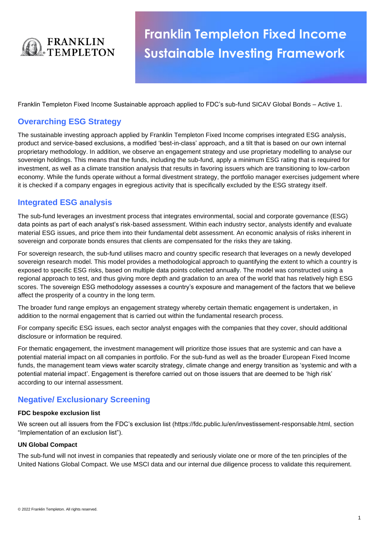

# **Franklin Templeton Fixed Income Sustainable Investing Framework**

Franklin Templeton Fixed Income Sustainable approach applied to FDC's sub-fund SICAV Global Bonds – Active 1.

# **Overarching ESG Strategy**

The sustainable investing approach applied by Franklin Templeton Fixed Income comprises integrated ESG analysis, product and service-based exclusions, a modified 'best-in-class' approach, and a tilt that is based on our own internal proprietary methodology. In addition, we observe an engagement strategy and use proprietary modelling to analyse our sovereign holdings. This means that the funds, including the sub-fund, apply a minimum ESG rating that is required for investment, as well as a climate transition analysis that results in favoring issuers which are transitioning to low-carbon economy. While the funds operate without a formal divestment strategy, the portfolio manager exercises judgement where it is checked if a company engages in egregious activity that is specifically excluded by the ESG strategy itself.

# **Integrated ESG analysis**

The sub-fund leverages an investment process that integrates environmental, social and corporate governance (ESG) data points as part of each analyst's risk-based assessment. Within each industry sector, analysts identify and evaluate material ESG issues, and price them into their fundamental debt assessment. An economic analysis of risks inherent in sovereign and corporate bonds ensures that clients are compensated for the risks they are taking.

For sovereign research, the sub-fund utilises macro and country specific research that leverages on a newly developed sovereign research model. This model provides a methodological approach to quantifying the extent to which a country is exposed to specific ESG risks, based on multiple data points collected annually. The model was constructed using a regional approach to test, and thus giving more depth and gradation to an area of the world that has relatively high ESG scores. The sovereign ESG methodology assesses a country's exposure and management of the factors that we believe affect the prosperity of a country in the long term.

The broader fund range employs an engagement strategy whereby certain thematic engagement is undertaken, in addition to the normal engagement that is carried out within the fundamental research process.

For company specific ESG issues, each sector analyst engages with the companies that they cover, should additional disclosure or information be required.

For thematic engagement, the investment management will prioritize those issues that are systemic and can have a potential material impact on all companies in portfolio. For the sub-fund as well as the broader European Fixed Income funds, the management team views water scarcity strategy, climate change and energy transition as 'systemic and with a potential material impact'. Engagement is therefore carried out on those issuers that are deemed to be 'high risk' according to our internal assessment.

# **Negative/ Exclusionary Screening**

#### **FDC bespoke exclusion list**

We screen out all issuers from the FDC's exclusion list (https://fdc.public.lu/en/investissement-responsable.html, section "Implementation of an exclusion list").

#### **UN Global Compact**

The sub-fund will not invest in companies that repeatedly and seriously violate one or more of the ten principles of the United Nations Global Compact. We use MSCI data and our internal due diligence process to validate this requirement.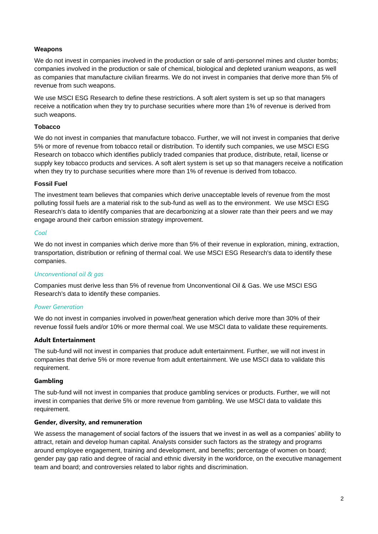## **Weapons**

We do not invest in companies involved in the production or sale of anti-personnel mines and cluster bombs; companies involved in the production or sale of chemical, biological and depleted uranium weapons, as well as companies that manufacture civilian firearms. We do not invest in companies that derive more than 5% of revenue from such weapons.

We use MSCI ESG Research to define these restrictions. A soft alert system is set up so that managers receive a notification when they try to purchase securities where more than 1% of revenue is derived from such weapons.

#### **Tobacco**

We do not invest in companies that manufacture tobacco. Further, we will not invest in companies that derive 5% or more of revenue from tobacco retail or distribution. To identify such companies, we use MSCI ESG Research on tobacco which identifies publicly traded companies that produce, distribute, retail, license or supply key tobacco products and services. A soft alert system is set up so that managers receive a notification when they try to purchase securities where more than 1% of revenue is derived from tobacco.

#### **Fossil Fuel**

The investment team believes that companies which derive unacceptable levels of revenue from the most polluting fossil fuels are a material risk to the sub-fund as well as to the environment. We use MSCI ESG Research's data to identify companies that are decarbonizing at a slower rate than their peers and we may engage around their carbon emission strategy improvement.

#### *Coal*

We do not invest in companies which derive more than 5% of their revenue in exploration, mining, extraction, transportation, distribution or refining of thermal coal. We use MSCI ESG Research's data to identify these companies.

## *Unconventional oil & gas*

Companies must derive less than 5% of revenue from Unconventional Oil & Gas. We use MSCI ESG Research's data to identify these companies.

## *Power Generation*

We do not invest in companies involved in power/heat generation which derive more than 30% of their revenue fossil fuels and/or 10% or more thermal coal. We use MSCI data to validate these requirements.

#### **Adult Entertainment**

The sub-fund will not invest in companies that produce adult entertainment. Further, we will not invest in companies that derive 5% or more revenue from adult entertainment. We use MSCI data to validate this requirement.

#### **Gambling**

The sub-fund will not invest in companies that produce gambling services or products. Further, we will not invest in companies that derive 5% or more revenue from gambling. We use MSCI data to validate this requirement.

#### **Gender, diversity, and remuneration**

We assess the management of social factors of the issuers that we invest in as well as a companies' ability to attract, retain and develop human capital. Analysts consider such factors as the strategy and programs around employee engagement, training and development, and benefits; percentage of women on board; gender pay gap ratio and degree of racial and ethnic diversity in the workforce, on the executive management team and board; and controversies related to labor rights and discrimination.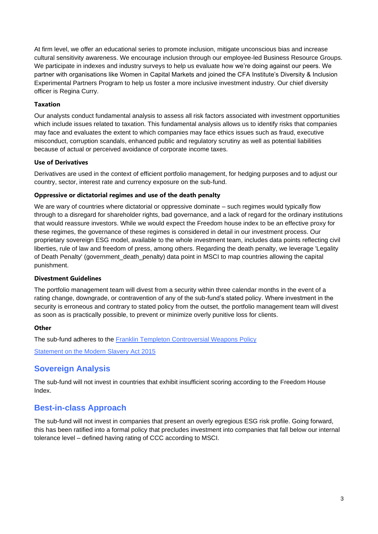At firm level, we offer an educational series to promote inclusion, mitigate unconscious bias and increase cultural sensitivity awareness. We encourage inclusion through our employee-led Business Resource Groups. We participate in indexes and industry surveys to help us evaluate how we're doing against our peers. We partner with organisations like Women in Capital Markets and joined the CFA Institute's Diversity & Inclusion Experimental Partners Program to help us foster a more inclusive investment industry. Our chief diversity officer is Regina Curry.

### **Taxation**

Our analysts conduct fundamental analysis to assess all risk factors associated with investment opportunities which include issues related to taxation. This fundamental analysis allows us to identify risks that companies may face and evaluates the extent to which companies may face ethics issues such as fraud, executive misconduct, corruption scandals, enhanced public and regulatory scrutiny as well as potential liabilities because of actual or perceived avoidance of corporate income taxes.

#### **Use of Derivatives**

Derivatives are used in the context of efficient portfolio management, for hedging purposes and to adjust our country, sector, interest rate and currency exposure on the sub-fund.

#### **Oppressive or dictatorial regimes and use of the death penalty**

We are wary of countries where dictatorial or oppressive dominate – such regimes would typically flow through to a disregard for shareholder rights, bad governance, and a lack of regard for the ordinary institutions that would reassure investors. While we would expect the Freedom house index to be an effective proxy for these regimes, the governance of these regimes is considered in detail in our investment process. Our proprietary sovereign ESG model, available to the whole investment team, includes data points reflecting civil liberties, rule of law and freedom of press, among others. Regarding the death penalty, we leverage 'Legality of Death Penalty' (government\_death\_penalty) data point in MSCI to map countries allowing the capital punishment.

#### **Divestment Guidelines**

The portfolio management team will divest from a security within three calendar months in the event of a rating change, downgrade, or contravention of any of the sub-fund's stated policy. Where investment in the security is erroneous and contrary to stated policy from the outset, the portfolio management team will divest as soon as is practically possible, to prevent or minimize overly punitive loss for clients.

## **Other**

The sub-fund adheres to the [Franklin Templeton Controversial Weapons Policy](https://www.franklintempleton.co.uk/download/abc/common/iu28m69v/controversial-weapons-policy.pdf)

[Statement on the Modern Slavery Act 2015](https://www.franklintempleton.co.uk/footer/modern-slavery-statement)

# **Sovereign Analysis**

The sub-fund will not invest in countries that exhibit insufficient scoring according to the Freedom House Index.

# **Best-in-class Approach**

The sub-fund will not invest in companies that present an overly egregious ESG risk profile. Going forward, this has been ratified into a formal policy that precludes investment into companies that fall below our internal tolerance level – defined having rating of CCC according to MSCI.